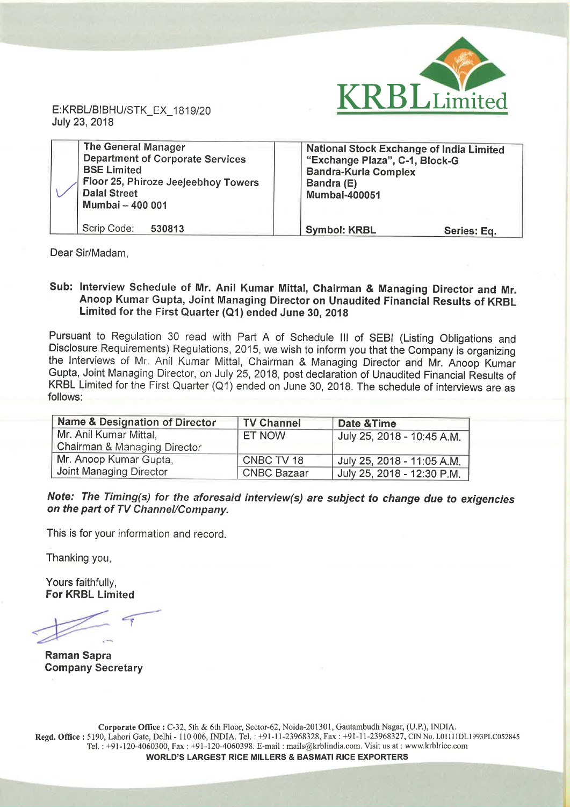

July 23, 2018

| <b>The General Manager</b><br><b>Department of Corporate Services</b><br><b>BSE Limited</b><br>Floor 25, Phiroze Jeejeebhoy Towers<br><b>Dalal Street</b><br>Mumbai - 400 001 | National Stock Exchange of India Limited<br>"Exchange Plaza", C-1, Block-G<br><b>Bandra-Kurla Complex</b><br>Bandra (E)<br><b>Mumbai-400051</b> |  |
|-------------------------------------------------------------------------------------------------------------------------------------------------------------------------------|-------------------------------------------------------------------------------------------------------------------------------------------------|--|
| Scrip Code:<br>530813                                                                                                                                                         | <b>Symbol: KRBL</b><br>Series: Eq.                                                                                                              |  |

Dear Sir/Madam,

## Sub: Interview Schedule of Mr. Anil Kumar Mittal, Chairman & Managing Director and Mr. Anoop Kumar Gupta, Joint Managing Director on Unaudited Financial Results of KRBL Limited for the First Quarter (Q1) ended June 30, <sup>2018</sup>

Pursuant to Regulation <sup>30</sup> read with Part A of Schedule III of SEBI (Listing Obligations and Disclosure Requirements) Regulations, 2015, we wish to inform you that the Company is organizing the Interviews of Mr. Anil Kumar Mittal, Chairman & Managing Director and Mr. Anoop Kumar Gupta, Joint Managing Director, on July 25, 2018, post declaration of Unaudited Financial Results of KRBL Limited for the First Quarter (Q1) ended on June 30, 2018. The schedule of interviews are as follows:

| <b>Name &amp; Designation of Director</b> | <b>TV Channel</b>  | Date & Time                |
|-------------------------------------------|--------------------|----------------------------|
| Mr. Anil Kumar Mittal,                    | <b>ET NOW</b>      | July 25, 2018 - 10:45 A.M. |
| Chairman & Managing Director              |                    |                            |
| Mr. Anoop Kumar Gupta,                    | CNBC TV 18         | July 25, 2018 - 11:05 A.M. |
| Joint Managing Director                   | <b>CNBC Bazaar</b> | July 25, 2018 - 12:30 P.M. |

Note: The Timing(s) for the aforesaid interview(s) are subject to change due to exigencies on the part of TV Channel/Company.

This is for your information and record.

Thanking you,

Yours faithfully, For KRBL Limited

Raman Sapra Company Secretary